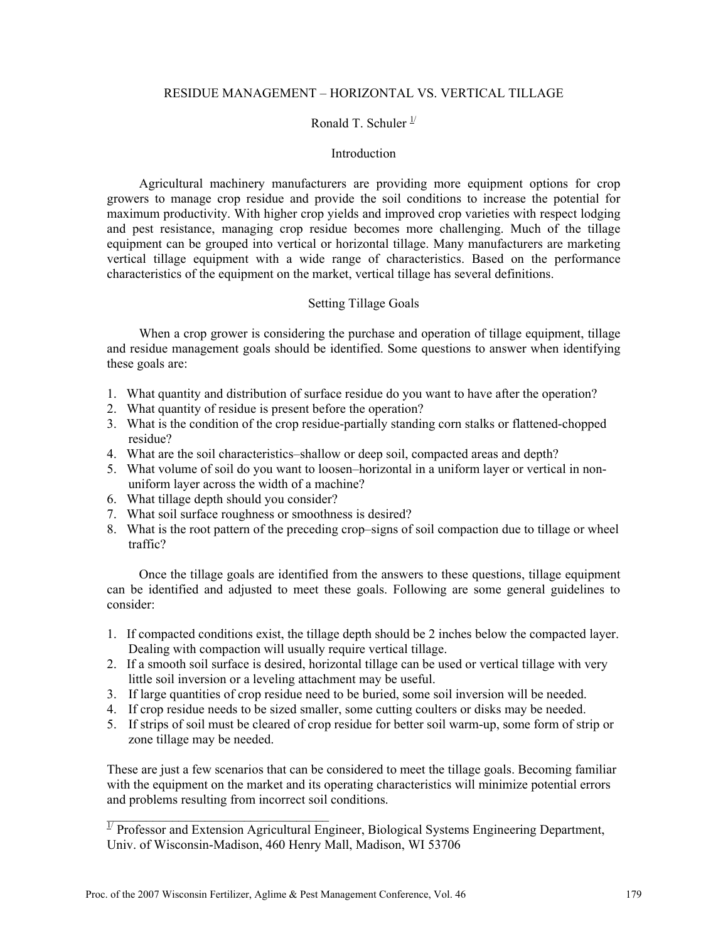# RESIDUE MANAGEMENT – HORIZONTAL VS. VERTICAL TILLAGE

## Ronald T. Schuler  $\frac{1}{2}$

#### **Introduction**

Agricultural machinery manufacturers are providing more equipment options for crop growers to manage crop residue and provide the soil conditions to increase the potential for maximum productivity. With higher crop yields and improved crop varieties with respect lodging and pest resistance, managing crop residue becomes more challenging. Much of the tillage equipment can be grouped into vertical or horizontal tillage. Many manufacturers are marketing vertical tillage equipment with a wide range of characteristics. Based on the performance characteristics of the equipment on the market, vertical tillage has several definitions.

## Setting Tillage Goals

When a crop grower is considering the purchase and operation of tillage equipment, tillage and residue management goals should be identified. Some questions to answer when identifying these goals are:

- 1. What quantity and distribution of surface residue do you want to have after the operation?
- 2. What quantity of residue is present before the operation?
- 3. What is the condition of the crop residue-partially standing corn stalks or flattened-chopped residue?
- 4. What are the soil characteristics–shallow or deep soil, compacted areas and depth?
- 5. What volume of soil do you want to loosen–horizontal in a uniform layer or vertical in nonuniform layer across the width of a machine?
- 6. What tillage depth should you consider?

 $\mathcal{L}_\text{max}$ 

- 7. What soil surface roughness or smoothness is desired?
- 8. What is the root pattern of the preceding crop–signs of soil compaction due to tillage or wheel traffic?

Once the tillage goals are identified from the answers to these questions, tillage equipment can be identified and adjusted to meet these goals. Following are some general guidelines to consider:

- 1. If compacted conditions exist, the tillage depth should be 2 inches below the compacted layer. Dealing with compaction will usually require vertical tillage.
- 2. If a smooth soil surface is desired, horizontal tillage can be used or vertical tillage with very little soil inversion or a leveling attachment may be useful.
- 3. If large quantities of crop residue need to be buried, some soil inversion will be needed.
- 4. If crop residue needs to be sized smaller, some cutting coulters or disks may be needed.
- 5. If strips of soil must be cleared of crop residue for better soil warm-up, some form of strip or zone tillage may be needed.

These are just a few scenarios that can be considered to meet the tillage goals. Becoming familiar with the equipment on the market and its operating characteristics will minimize potential errors and problems resulting from incorrect soil conditions.

<sup>1/</sup> Professor and Extension Agricultural Engineer, Biological Systems Engineering Department, Univ. of Wisconsin-Madison, 460 Henry Mall, Madison, WI 53706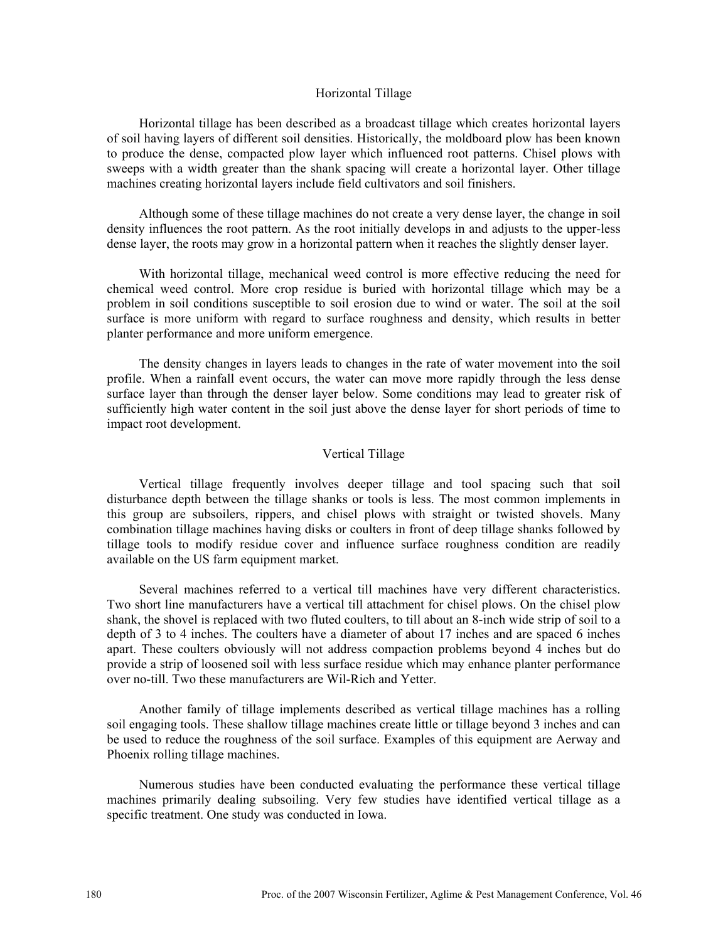#### Horizontal Tillage

Horizontal tillage has been described as a broadcast tillage which creates horizontal layers of soil having layers of different soil densities. Historically, the moldboard plow has been known to produce the dense, compacted plow layer which influenced root patterns. Chisel plows with sweeps with a width greater than the shank spacing will create a horizontal layer. Other tillage machines creating horizontal layers include field cultivators and soil finishers.

Although some of these tillage machines do not create a very dense layer, the change in soil density influences the root pattern. As the root initially develops in and adjusts to the upper-less dense layer, the roots may grow in a horizontal pattern when it reaches the slightly denser layer.

With horizontal tillage, mechanical weed control is more effective reducing the need for chemical weed control. More crop residue is buried with horizontal tillage which may be a problem in soil conditions susceptible to soil erosion due to wind or water. The soil at the soil surface is more uniform with regard to surface roughness and density, which results in better planter performance and more uniform emergence.

The density changes in layers leads to changes in the rate of water movement into the soil profile. When a rainfall event occurs, the water can move more rapidly through the less dense surface layer than through the denser layer below. Some conditions may lead to greater risk of sufficiently high water content in the soil just above the dense layer for short periods of time to impact root development.

### Vertical Tillage

Vertical tillage frequently involves deeper tillage and tool spacing such that soil disturbance depth between the tillage shanks or tools is less. The most common implements in this group are subsoilers, rippers, and chisel plows with straight or twisted shovels. Many combination tillage machines having disks or coulters in front of deep tillage shanks followed by tillage tools to modify residue cover and influence surface roughness condition are readily available on the US farm equipment market.

Several machines referred to a vertical till machines have very different characteristics. Two short line manufacturers have a vertical till attachment for chisel plows. On the chisel plow shank, the shovel is replaced with two fluted coulters, to till about an 8-inch wide strip of soil to a depth of 3 to 4 inches. The coulters have a diameter of about 17 inches and are spaced 6 inches apart. These coulters obviously will not address compaction problems beyond 4 inches but do provide a strip of loosened soil with less surface residue which may enhance planter performance over no-till. Two these manufacturers are Wil-Rich and Yetter.

Another family of tillage implements described as vertical tillage machines has a rolling soil engaging tools. These shallow tillage machines create little or tillage beyond 3 inches and can be used to reduce the roughness of the soil surface. Examples of this equipment are Aerway and Phoenix rolling tillage machines.

Numerous studies have been conducted evaluating the performance these vertical tillage machines primarily dealing subsoiling. Very few studies have identified vertical tillage as a specific treatment. One study was conducted in Iowa.